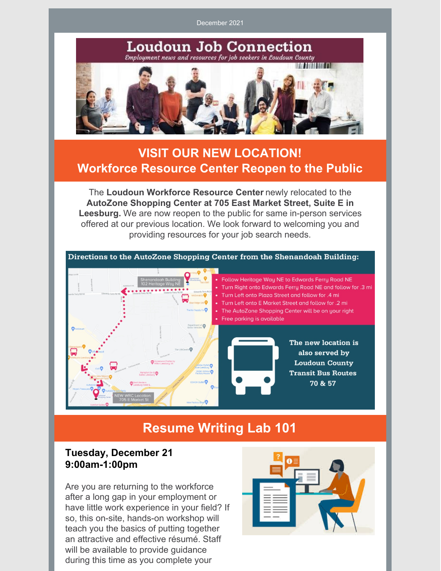December 2021

**Loudoun Job Connection** Employment news and resources for job seekers in Loudoun County **IN THEIRE FL** 

# **VISIT OUR NEW LOCATION! Workforce Resource Center Reopen to the Public**

The **Loudoun Workforce Resource Center** newly relocated to the **AutoZone Shopping Center at 705 East Market Street, Suite E in Leesburg.** We are now reopen to the public for same in-person services offered at our previous location. We look forward to welcoming you and providing resources for your job search needs.



# **Resume Writing Lab 101**

## **Tuesday, December 21 9:00am-1:00pm**

Are you are returning to the workforce after a long gap in your employment or have little work experience in your field? If so, this on-site, hands-on workshop will teach you the basics of putting together an attractive and effective résumé. Staff will be available to provide guidance during this time as you complete your

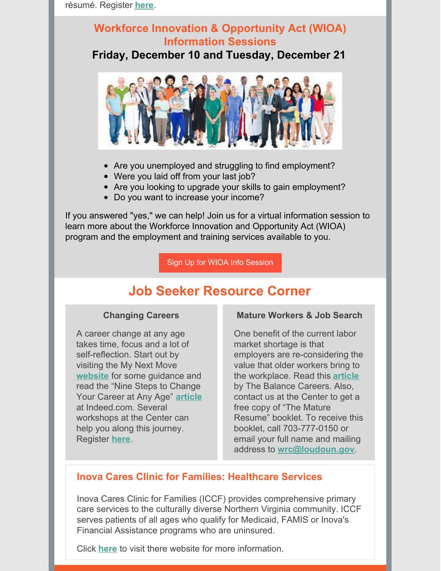## **Workforce Innovation & Opportunity Act (WIOA) Information Sessions**

**Friday, December 10 and Tuesday, December 21**



- Are you unemployed and struggling to find employment?
- Were you laid off from your last job?
- Are you looking to upgrade your skills to gain employment?
- Do you want to increase your income?

If you answered "yes," we can help! Join us for a virtual information session to learn more about the Workforce Innovation and Opportunity Act (WIOA) program and the employment and training services available to you.

Sign Up for WIOA Info [Session](https://files.constantcontact.com/8ddd10a8801/98341b29-87d1-4346-84c1-ccb6a9fa5009.pdf?rdr=true)

# **Job Seeker Resource Corner**

### **Changing Careers**

A career change at any age takes time, focus and a lot of self-reflection. Start out by visiting the My Next Move **[website](http://www.mynextmove.org)** for some guidance and read the "Nine Steps to Change Your Career at Any Age" **[article](https://www.indeed.com/career-advice/finding-a-job/change-career-path)** at Indeed.com. Several workshops at the Center can help you along this journey. Register **[here](http://www.loudoun.gov/wrcworkshops)**.

### **Mature Workers & Job Search**

One benefit of the current labor market shortage is that employers are re-considering the value that older workers bring to the workplace. Read this **[article](https://www.thebalancecareers.com/job-search-tips-for-older-job-seekers-2063078)** by The Balance Careers. Also, contact us at the Center to get a free copy of "The Mature Resume" booklet. To receive this booklet, call 703-777-0150 or email your full name and mailing address to **[wrc@loudoun.gov](mailto:wrc@loudoun.gov)**.

## **Inova Cares Clinic for Families: Healthcare Services**

Inova Cares Clinic for Families (ICCF) provides comprehensive primary care services to the culturally diverse Northern Virginia community. ICCF serves patients of all ages who qualify for Medicaid, FAMIS or Inova's Financial Assistance programs who are uninsured.

Click **[here](https://www.inova.org/about-inova/inova-your-community/community-access-care/inova-cares-clinic-families)** to visit there website for more information.